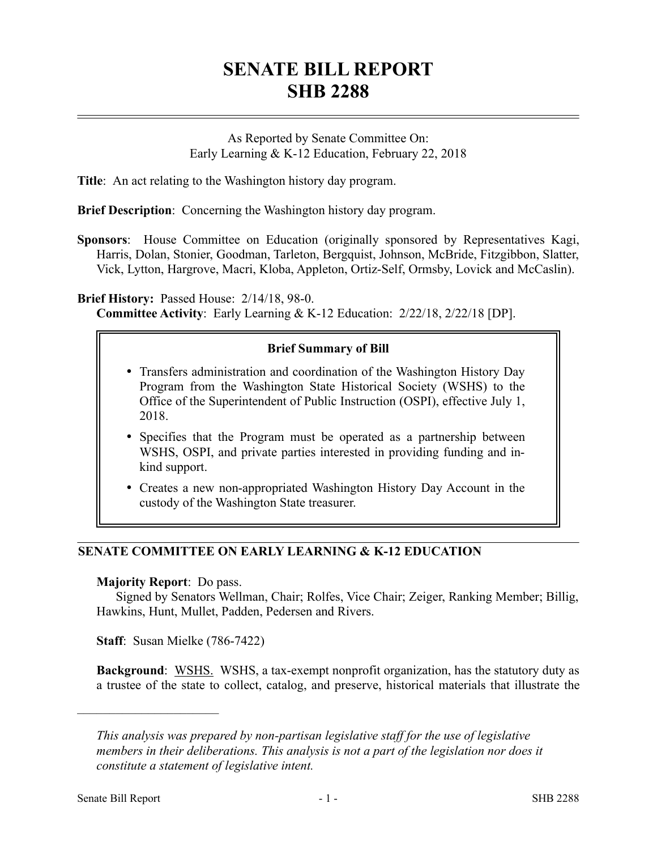# **SENATE BILL REPORT SHB 2288**

As Reported by Senate Committee On: Early Learning & K-12 Education, February 22, 2018

**Title**: An act relating to the Washington history day program.

**Brief Description**: Concerning the Washington history day program.

**Sponsors**: House Committee on Education (originally sponsored by Representatives Kagi, Harris, Dolan, Stonier, Goodman, Tarleton, Bergquist, Johnson, McBride, Fitzgibbon, Slatter, Vick, Lytton, Hargrove, Macri, Kloba, Appleton, Ortiz-Self, Ormsby, Lovick and McCaslin).

**Brief History:** Passed House: 2/14/18, 98-0. **Committee Activity**: Early Learning & K-12 Education: 2/22/18, 2/22/18 [DP].

### **Brief Summary of Bill**

- Transfers administration and coordination of the Washington History Day Program from the Washington State Historical Society (WSHS) to the Office of the Superintendent of Public Instruction (OSPI), effective July 1, 2018.
- Specifies that the Program must be operated as a partnership between WSHS, OSPI, and private parties interested in providing funding and inkind support.
- Creates a new non-appropriated Washington History Day Account in the custody of the Washington State treasurer.

## **SENATE COMMITTEE ON EARLY LEARNING & K-12 EDUCATION**

#### **Majority Report**: Do pass.

Signed by Senators Wellman, Chair; Rolfes, Vice Chair; Zeiger, Ranking Member; Billig, Hawkins, Hunt, Mullet, Padden, Pedersen and Rivers.

**Staff**: Susan Mielke (786-7422)

**Background**: WSHS. WSHS, a tax-exempt nonprofit organization, has the statutory duty as a trustee of the state to collect, catalog, and preserve, historical materials that illustrate the

––––––––––––––––––––––

*This analysis was prepared by non-partisan legislative staff for the use of legislative members in their deliberations. This analysis is not a part of the legislation nor does it constitute a statement of legislative intent.*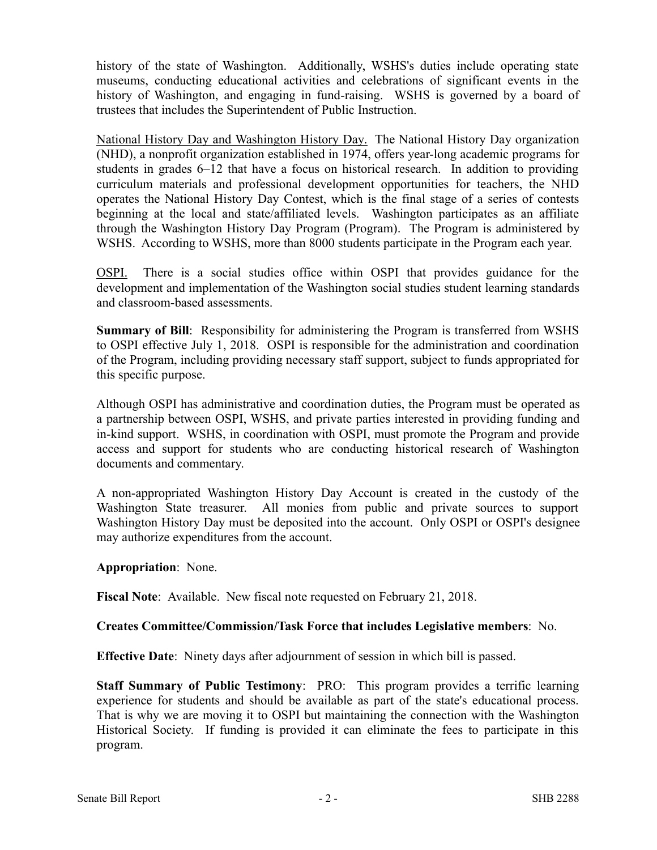history of the state of Washington. Additionally, WSHS's duties include operating state museums, conducting educational activities and celebrations of significant events in the history of Washington, and engaging in fund-raising. WSHS is governed by a board of trustees that includes the Superintendent of Public Instruction.

National History Day and Washington History Day. The National History Day organization (NHD), a nonprofit organization established in 1974, offers year-long academic programs for students in grades 6–12 that have a focus on historical research. In addition to providing curriculum materials and professional development opportunities for teachers, the NHD operates the National History Day Contest, which is the final stage of a series of contests beginning at the local and state/affiliated levels. Washington participates as an affiliate through the Washington History Day Program (Program). The Program is administered by WSHS. According to WSHS, more than 8000 students participate in the Program each year.

OSPI. There is a social studies office within OSPI that provides guidance for the development and implementation of the Washington social studies student learning standards and classroom-based assessments.

**Summary of Bill**: Responsibility for administering the Program is transferred from WSHS to OSPI effective July 1, 2018. OSPI is responsible for the administration and coordination of the Program, including providing necessary staff support, subject to funds appropriated for this specific purpose.

Although OSPI has administrative and coordination duties, the Program must be operated as a partnership between OSPI, WSHS, and private parties interested in providing funding and in-kind support. WSHS, in coordination with OSPI, must promote the Program and provide access and support for students who are conducting historical research of Washington documents and commentary.

A non-appropriated Washington History Day Account is created in the custody of the Washington State treasurer. All monies from public and private sources to support Washington History Day must be deposited into the account. Only OSPI or OSPI's designee may authorize expenditures from the account.

**Appropriation**: None.

**Fiscal Note**: Available. New fiscal note requested on February 21, 2018.

#### **Creates Committee/Commission/Task Force that includes Legislative members**: No.

**Effective Date**: Ninety days after adjournment of session in which bill is passed.

**Staff Summary of Public Testimony**: PRO: This program provides a terrific learning experience for students and should be available as part of the state's educational process. That is why we are moving it to OSPI but maintaining the connection with the Washington Historical Society. If funding is provided it can eliminate the fees to participate in this program.